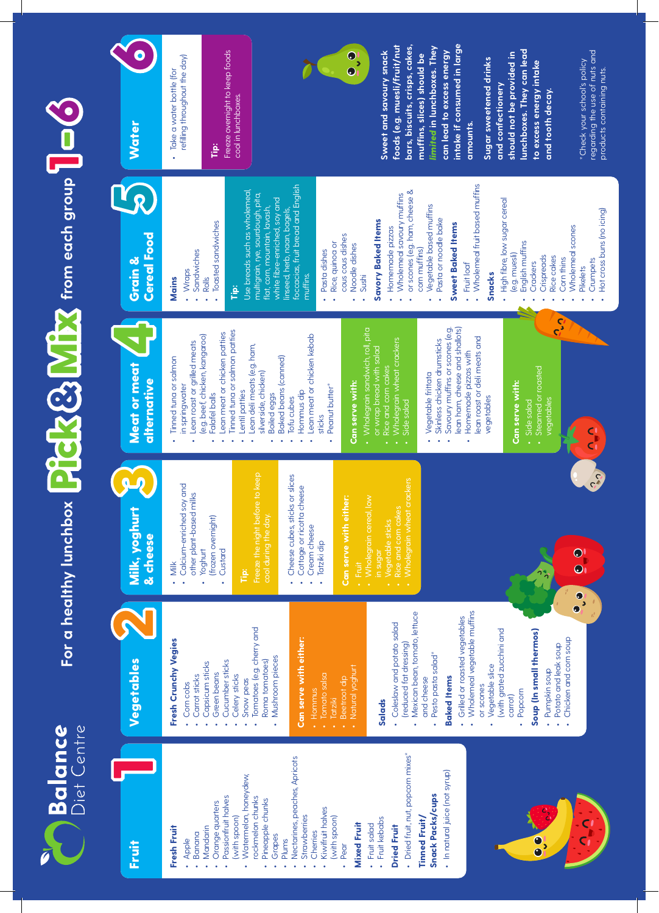

## For a healthy lunchbox **Pick B** Mix from each group <u>172</u>  $\blacksquare$ 6

6



• Apple • Banana •

Fruit

•

•

•

•

•

• Plums •

•

•

•

•Pear • Dried fruit, nut, popcorn mixes\* Dried fruit, nut, popcorn mixes\* •

and cheese

and cheese

•

**Baked Items**

**Baked Items** 

•

•

or scones

or scones

•

carrot) • Popcom Popcorn

**Soup (In small thermos)**

Soup (In small thermos)

• Pumpkin soup Pumpkin soup

•

•

Chicken and corn soup

Chicken and corn soup

 $\frac{1}{2}$ 

 $\bullet$ 

Potato and leak soup

Potato and leak soup

**Tinned Fruit/ Snack Packs/cups** • In natural juice (not syrup) In natural juice (not syrup)

Tinned Fruit/

**Snack Packs/cups** 

- $\mathbf{O}$
- 62 Wholegrain wheat crackers Wholegrain wheat crackers Milk, yoghurt<br>& cheese Wholemeal vegetable muffins Mexican bean, tomato, lettuce Wholemeal vegetable muffins  $\mathbf{\Omega}$ Mexican bean, tomato, lettuce Grilled or roasted vegetables Grilled or roasted vegetables (with grated zucchini and (with grated zucchini and (reduced fat dressing) (reduced fat dressing) Pesto pasta salad\* Pesto pasta salad\* Vegetables Vegetables Vegetable slice Vegetable slice
- Wholemeal scones Wholemeal scones • Rice cakes Rice cakes • Corn thins Corn thins • Pikelets Pikelets • $\overline{c}$ <u>त्त्रः</u> Savoury muffins or scones (e.g. Wholegrain sandwich, roll, pita Savoury muffins or scones (e.g. lean ham, cheese and shallots) lean ham, cheese and shallots) • Wholegrain sandwich, roll, pita • Tinned tuna or salmon patties Tinned tuna or salmon patties • Lean meat or chicken patties Lean meat or chicken kebab Lean meat or chicken patties lean roast or deli meats and (e.g. beef, chicken, kangaroo) (e.g. beef, chicken, kangaroo) • Lean meat or chicken kebab lean roast or deli meats and Skinless chicken drumsticks Lean roast or grilled meats • Wholegrain wheat crackers Wholegrain wheat crackers Lean roast or grilled meats Skinless chicken drumsticks Lean deli meats (e.g. ham, • Lean deli meats (e.g. ham, or wrap bread with salad or wrap bread with salad • Homemade pizzas with Homemade pizzas with Tinned tuna or salmon Tinned tuna or salmon **Baked beans (canned)**  Baked beans (canned) Meat or meat<br>alternative • Steamed or roasted Steamed or roasted Rice and corn cakes • Vegetable frittata silverside, chicken) silverside, chicken) Vegetable frittata Can serve with: **Can serve with:** Can serve with: **Can serve with:** in springwater in springwater Peanut butter\* Peanut butter\* • Hommus dip • Lentil patties Lentil patties **Boiled** eggs Hommus dip Falafel balls Falafel balls Boiled eggs Tofu cubes vegetables Side salad vegetables • Side salad Tofu cubes vegetables Side salad Side salad sticks ••
- **intake if consumed in large foods (e.g. muesli/fruit/nut bars, biscuits, crisps, cakes,**  *limited* **in lunchboxes. They**  foods (e.g. muesli/fruit/nut bars, biscuits, crisps, cakes, intake if consumed in large limited in lunchboxes. They **lunchboxes. They can lead**  Freeze overnight to keep foods **Sweet and savoury snack**  can lead to excess energy **can lead to excess energy**  lunchboxes. They can lead Freeze overnight to keep foods Sweet and savoury snack should not be provided in **should not be provided in**  muffins, slices) should be **muffins, slices) should be**  refiling throughout the day) Sugar sweetened drinks refilling throughout the day) **Sugar sweetened drinks to excess energy intake**  to excess energy intake Take a water bottle (for • Take a water bottle (for and confectionery **and confectionery**  and tooth decay. **and tooth decay.** cool in lunchboxes. cool in lunchboxes.**Water** amounts. **amounts. Tip:** foccacias, fruit bread and English foccacias, fruit bread and English • Wholemeal fruit based muffins Wholemeal fruit based muffins  $\mathbf{Y}_{\mathcal{R}}$ Use breads such as wholemeal, or scones (e.g. ham, cheese & • or scones (e.g. ham, cheese & Use breads such as wholemeal, multigrain, rye, sourdough, pita, multigrain, rye, sourdough, pita, • Wholemeal savoury muffins Wholemeal savoury muffins white fibre-enriched, soy and High fibre, low sugar cereal • High fibre, low sugar cereal white fibre-enriched, soy and flat, corn, mountain, lavash, • Vegetable based muffins linseed, herb, naan, bagels, Vegetable based muffins flat, corn, mountain, lavash, linseed, herb, naan, bagels, • Pasta or noodle bake **Savory Baked Items**  Pasta or noodle bake • Toasted sandwiches **Savory Baked Items** Toasted sandwiches **Sweet Baked Items Sweet Baked Items** • Homemade pizzas Homemade pizzas Grain & Cereal Food cous cous dishes cous cous dishes • Rice, quinoa or Rice, quinoa or English muffins English muffins • Noodle dishes Noodle dishes corn muffins) • Pasta dishes corn muffins) • Sandwiches Sandwiches Pasta dishes (e.g. muesli) (e.g. muesli) • Crispreads Crispreads • Crackers • Fruit loaf Fruit loaf Crackers • Wraps **Snacks** muffins. **Mains** • Sushi • Rolls **Tip:**

 $\bullet$ 

regarding the use of nuts and regarding the use of nuts and Check your school's policy \*Check your school's policy products containing nuts. products containing nuts.

> • Crumpets Crumpets

• Hot cross buns (no icing) Hot cross buns (no icing)